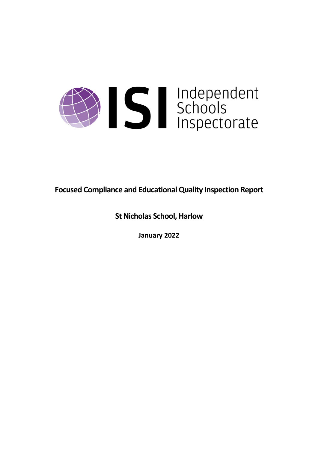

**Focused Compliance and EducationalQuality Inspection Report**

**St Nicholas School, Harlow** 

**January 2022**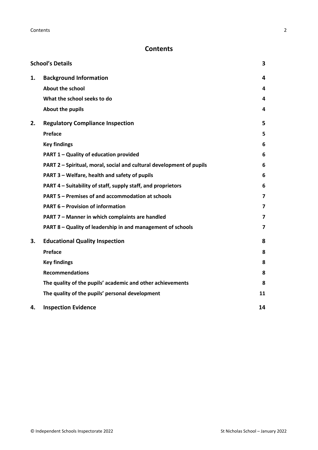# **Contents**

|    | <b>School's Details</b>                                              | 3                       |
|----|----------------------------------------------------------------------|-------------------------|
| 1. | <b>Background Information</b>                                        | 4                       |
|    | <b>About the school</b>                                              | 4                       |
|    | What the school seeks to do                                          | 4                       |
|    | About the pupils                                                     | 4                       |
| 2. | <b>Regulatory Compliance Inspection</b>                              | 5                       |
|    | Preface                                                              | 5                       |
|    | <b>Key findings</b>                                                  | 6                       |
|    | PART 1 - Quality of education provided                               | 6                       |
|    | PART 2 - Spiritual, moral, social and cultural development of pupils | 6                       |
|    | PART 3 - Welfare, health and safety of pupils                        | 6                       |
|    | PART 4 – Suitability of staff, supply staff, and proprietors         | 6                       |
|    | PART 5 - Premises of and accommodation at schools                    | $\overline{\mathbf{z}}$ |
|    | <b>PART 6 - Provision of information</b>                             | 7                       |
|    | PART 7 - Manner in which complaints are handled                      | 7                       |
|    | PART 8 - Quality of leadership in and management of schools          | $\overline{\mathbf{z}}$ |
| 3. | <b>Educational Quality Inspection</b>                                | 8                       |
|    | Preface                                                              | 8                       |
|    | <b>Key findings</b>                                                  | 8                       |
|    | <b>Recommendations</b>                                               | 8                       |
|    | The quality of the pupils' academic and other achievements           | 8                       |
|    | The quality of the pupils' personal development                      | 11                      |
| 4. | <b>Inspection Evidence</b>                                           | 14                      |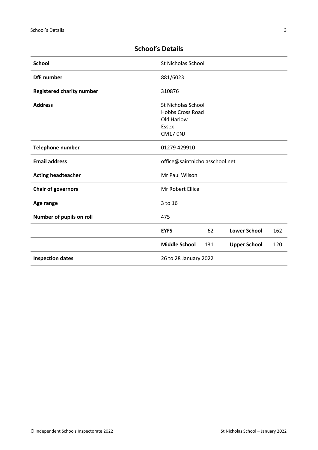| <b>School</b>                    | St Nicholas School                                   |     |                     |     |
|----------------------------------|------------------------------------------------------|-----|---------------------|-----|
| <b>DfE</b> number                | 881/6023                                             |     |                     |     |
| <b>Registered charity number</b> | 310876                                               |     |                     |     |
| <b>Address</b>                   | <b>St Nicholas School</b><br><b>Hobbs Cross Road</b> |     |                     |     |
|                                  | Old Harlow                                           |     |                     |     |
|                                  | Essex                                                |     |                     |     |
|                                  | <b>CM17 0NJ</b>                                      |     |                     |     |
| <b>Telephone number</b>          | 01279 429910                                         |     |                     |     |
| <b>Email address</b>             | office@saintnicholasschool.net                       |     |                     |     |
| <b>Acting headteacher</b>        | Mr Paul Wilson                                       |     |                     |     |
| <b>Chair of governors</b>        | Mr Robert Ellice                                     |     |                     |     |
| Age range                        | 3 to 16                                              |     |                     |     |
| Number of pupils on roll         | 475                                                  |     |                     |     |
|                                  | <b>EYFS</b>                                          | 62  | <b>Lower School</b> | 162 |
|                                  | <b>Middle School</b>                                 | 131 | <b>Upper School</b> | 120 |
| <b>Inspection dates</b>          | 26 to 28 January 2022                                |     |                     |     |

# <span id="page-2-0"></span>**School's Details**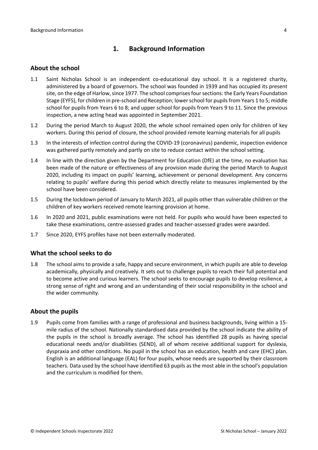## <span id="page-3-0"></span>**1. Background Information**

#### <span id="page-3-1"></span>**About the school**

- 1.1 Saint Nicholas School is an independent co-educational day school. It is a registered charity, administered by a board of governors. The school was founded in 1939 and has occupied its present site, on the edge of Harlow, since 1977. The school comprises four sections: the Early Years Foundation Stage (EYFS), for children in pre-school and Reception; lower school for pupils from Years 1 to 5; middle school for pupils from Years 6 to 8; and upper school for pupils from Years 9 to 11. Since the previous inspection, a new acting head was appointed in September 2021.
- 1.2 During the period March to August 2020, the whole school remained open only for children of key workers. During this period of closure, the school provided remote learning materials for all pupils
- 1.3 In the interests of infection control during the COVID-19 (coronavirus) pandemic, inspection evidence was gathered partly remotely and partly on site to reduce contact within the school setting.
- 1.4 In line with the direction given by the Department for Education (DfE) at the time, no evaluation has been made of the nature or effectiveness of any provision made during the period March to August 2020, including its impact on pupils' learning, achievement or personal development. Any concerns relating to pupils' welfare during this period which directly relate to measures implemented by the school have been considered.
- 1.5 During the lockdown period of January to March 2021, all pupils other than vulnerable children or the children of key workers received remote learning provision at home.
- 1.6 In 2020 and 2021, public examinations were not held. For pupils who would have been expected to take these examinations, centre-assessed grades and teacher-assessed grades were awarded.
- <span id="page-3-2"></span>1.7 Since 2020, EYFS profiles have not been externally moderated.

#### **What the school seeks to do**

1.8 The school aims to provide a safe, happy and secure environment, in which pupils are able to develop academically, physically and creatively. It sets out to challenge pupils to reach their full potential and to become active and curious learners. The school seeks to encourage pupils to develop resilience, a strong sense of right and wrong and an understanding of their social responsibility in the school and the wider community.

#### <span id="page-3-3"></span>**About the pupils**

1.9 Pupils come from families with a range of professional and business backgrounds, living within a 15 mile radius of the school. Nationally standardised data provided by the school indicate the ability of the pupils in the school is broadly average. The school has identified 28 pupils as having special educational needs and/or disabilities (SEND), all of whom receive additional support for dyslexia, dyspraxia and other conditions. No pupil in the school has an education, health and care (EHC) plan. English is an additional language (EAL) for four pupils, whose needs are supported by their classroom teachers. Data used by the school have identified 63 pupils as the most able in the school's population and the curriculum is modified for them.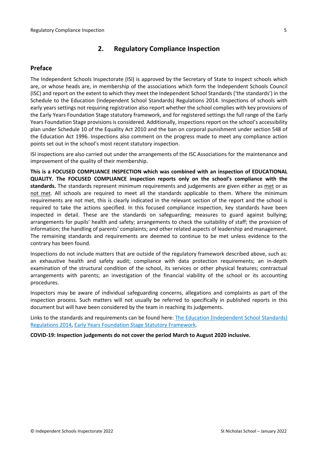## <span id="page-4-0"></span>**2. Regulatory Compliance Inspection**

## <span id="page-4-1"></span>**Preface**

The Independent Schools Inspectorate (ISI) is approved by the Secretary of State to inspect schools which are, or whose heads are, in membership of the associations which form the Independent Schools Council (ISC) and report on the extent to which they meet the Independent School Standards ('the standards') in the Schedule to the Education (Independent School Standards) Regulations 2014. Inspections of schools with early years settings not requiring registration also report whether the school complies with key provisions of the Early Years Foundation Stage statutory framework, and for registered settings the full range of the Early Years Foundation Stage provisions is considered. Additionally, inspections report on the school's accessibility plan under Schedule 10 of the Equality Act 2010 and the ban on corporal punishment under section 548 of the Education Act 1996. Inspections also comment on the progress made to meet any compliance action points set out in the school's most recent statutory inspection.

ISI inspections are also carried out under the arrangements of the ISC Associations for the maintenance and improvement of the quality of their membership.

**This is a FOCUSED COMPLIANCE INSPECTION which was combined with an inspection of EDUCATIONAL QUALITY. The FOCUSED COMPLIANCE inspection reports only on the school's compliance with the standards.** The standards represent minimum requirements and judgements are given either as met or as not met. All schools are required to meet all the standards applicable to them. Where the minimum requirements are not met, this is clearly indicated in the relevant section of the report and the school is required to take the actions specified. In this focused compliance inspection, key standards have been inspected in detail. These are the standards on safeguarding; measures to guard against bullying; arrangements for pupils' health and safety; arrangements to check the suitability of staff; the provision of information; the handling of parents' complaints; and other related aspects of leadership and management. The remaining standards and requirements are deemed to continue to be met unless evidence to the contrary has been found.

Inspections do not include matters that are outside of the regulatory framework described above, such as: an exhaustive health and safety audit; compliance with data protection requirements; an in-depth examination of the structural condition of the school, its services or other physical features; contractual arrangements with parents; an investigation of the financial viability of the school or its accounting procedures.

Inspectors may be aware of individual safeguarding concerns, allegations and complaints as part of the inspection process. Such matters will not usually be referred to specifically in published reports in this document but will have been considered by the team in reaching its judgements.

Links to the standards and requirements can be found here: The Education [\(Independent](http://www.legislation.gov.uk/uksi/2014/3283/contents/made) School Standards) [Regulations](http://www.legislation.gov.uk/uksi/2014/3283/contents/made) 2014, Early Years Foundation Stage Statutory [Framework.](https://www.gov.uk/government/publications/early-years-foundation-stage-framework--2)

**COVID-19: Inspection judgements do not cover the period March to August 2020 inclusive.**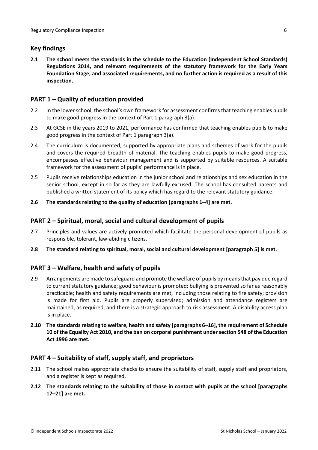## <span id="page-5-0"></span>**Key findings**

**2.1 The school meets the standards in the schedule to the Education (Independent School Standards) Regulations 2014, and relevant requirements of the statutory framework for the Early Years Foundation Stage, and associated requirements, and no further action is required as a result of this inspection.**

## <span id="page-5-1"></span>**PART 1 – Quality of education provided**

- 2.2 In the lower school, the school's own framework for assessment confirms that teaching enables pupils to make good progress in the context of Part 1 paragraph 3(a).
- 2.3 At GCSE in the years 2019 to 2021, performance has confirmed that teaching enables pupils to make good progress in the context of Part 1 paragraph 3(a).
- 2.4 The curriculum is documented, supported by appropriate plans and schemes of work for the pupils and covers the required breadth of material. The teaching enables pupils to make good progress, encompasses effective behaviour management and is supported by suitable resources. A suitable framework for the assessment of pupils' performance is in place.
- 2.5 Pupils receive relationships education in the junior school and relationships and sex education in the senior school, except in so far as they are lawfully excused. The school has consulted parents and published a written statement of its policy which has regard to the relevant statutory guidance.

#### **2.6 The standards relating to the quality of education [paragraphs 1–4] are met.**

## <span id="page-5-2"></span>**PART 2 – Spiritual, moral, social and cultural development of pupils**

- 2.7 Principles and values are actively promoted which facilitate the personal development of pupils as responsible, tolerant, law-abiding citizens.
- **2.8 The standard relating to spiritual, moral, social and cultural development [paragraph 5] is met.**

## <span id="page-5-3"></span>**PART 3 – Welfare, health and safety of pupils**

- 2.9 Arrangements are made to safeguard and promote the welfare of pupils by means that pay due regard to current statutory guidance; good behaviour is promoted; bullying is prevented so far as reasonably practicable; health and safety requirements are met, including those relating to fire safety; provision is made for first aid. Pupils are properly supervised; admission and attendance registers are maintained, as required, and there is a strategic approach to risk assessment. A disability access plan is in place.
- **2.10 The standardsrelating to welfare, health and safety [paragraphs 6–16], the requirement of Schedule 10 of the Equality Act 2010, and the ban on corporal punishment undersection 548 of the Education Act 1996 are met.**

## <span id="page-5-4"></span>**PART 4 – Suitability of staff, supply staff, and proprietors**

- 2.11 The school makes appropriate checks to ensure the suitability of staff, supply staff and proprietors, and a register is kept as required.
- **2.12 The standards relating to the suitability of those in contact with pupils at the school [paragraphs 17–21] are met.**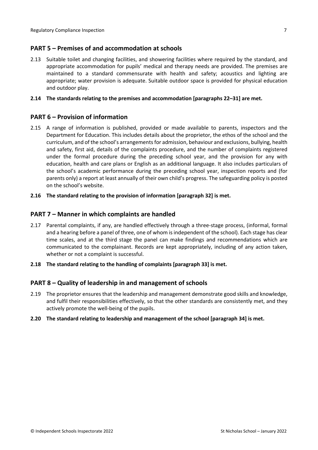## <span id="page-6-0"></span>**PART 5 – Premises of and accommodation at schools**

2.13 Suitable toilet and changing facilities, and showering facilities where required by the standard, and appropriate accommodation for pupils' medical and therapy needs are provided. The premises are maintained to a standard commensurate with health and safety; acoustics and lighting are appropriate; water provision is adequate. Suitable outdoor space is provided for physical education and outdoor play.

#### **2.14 The standards relating to the premises and accommodation [paragraphs 22–31] are met.**

## <span id="page-6-1"></span>**PART 6 – Provision of information**

- 2.15 A range of information is published, provided or made available to parents, inspectors and the Department for Education. This includes details about the proprietor, the ethos of the school and the curriculum, and of the school's arrangementsfor admission, behaviour and exclusions, bullying, health and safety, first aid, details of the complaints procedure, and the number of complaints registered under the formal procedure during the preceding school year, and the provision for any with education, health and care plans or English as an additional language. It also includes particulars of the school's academic performance during the preceding school year, inspection reports and (for parents only) a report at least annually of their own child's progress. The safeguarding policy is posted on the school's website.
- **2.16 The standard relating to the provision of information [paragraph 32] is met.**

#### <span id="page-6-2"></span>**PART 7 – Manner in which complaints are handled**

- 2.17 Parental complaints, if any, are handled effectively through a three-stage process, (informal, formal and a hearing before a panel of three, one of whom is independent of the school). Each stage has clear time scales, and at the third stage the panel can make findings and recommendations which are communicated to the complainant. Records are kept appropriately, including of any action taken, whether or not a complaint is successful.
- **2.18 The standard relating to the handling of complaints [paragraph 33] is met.**

## <span id="page-6-3"></span>**PART 8 – Quality of leadership in and management of schools**

- 2.19 The proprietor ensures that the leadership and management demonstrate good skills and knowledge, and fulfil their responsibilities effectively, so that the other standards are consistently met, and they actively promote the well-being of the pupils.
- **2.20 The standard relating to leadership and management of the school [paragraph 34] is met.**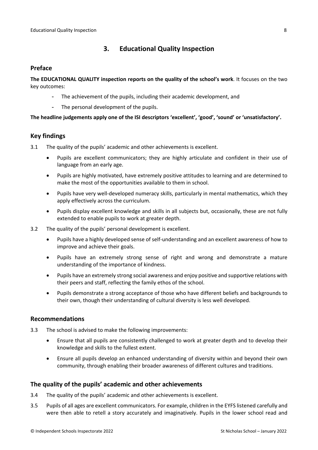## <span id="page-7-0"></span>**3. Educational Quality Inspection**

### <span id="page-7-1"></span>**Preface**

**The EDUCATIONAL QUALITY inspection reports on the quality of the school's work**. It focuses on the two key outcomes:

- The achievement of the pupils, including their academic development, and
- The personal development of the pupils.

#### **The headline judgements apply one of the ISI descriptors 'excellent', 'good', 'sound' or 'unsatisfactory'.**

## <span id="page-7-2"></span>**Key findings**

- 3.1 The quality of the pupils' academic and other achievements is excellent.
	- Pupils are excellent communicators; they are highly articulate and confident in their use of language from an early age.
	- Pupils are highly motivated, have extremely positive attitudes to learning and are determined to make the most of the opportunities available to them in school.
	- Pupils have very well-developed numeracy skills, particularly in mental mathematics, which they apply effectively across the curriculum.
	- Pupils display excellent knowledge and skills in all subjects but, occasionally, these are not fully extended to enable pupils to work at greater depth.
- 3.2 The quality of the pupils' personal development is excellent.
	- Pupils have a highly developed sense of self-understanding and an excellent awareness of how to improve and achieve their goals.
	- Pupils have an extremely strong sense of right and wrong and demonstrate a mature understanding of the importance of kindness.
	- Pupils have an extremely strong social awareness and enjoy positive and supportive relations with their peers and staff, reflecting the family ethos of the school.
	- Pupils demonstrate a strong acceptance of those who have different beliefs and backgrounds to their own, though their understanding of cultural diversity is less well developed.

#### <span id="page-7-3"></span>**Recommendations**

- 3.3 The school is advised to make the following improvements:
	- Ensure that all pupils are consistently challenged to work at greater depth and to develop their knowledge and skills to the fullest extent.
	- Ensure all pupils develop an enhanced understanding of diversity within and beyond their own community, through enabling their broader awareness of different cultures and traditions.

#### <span id="page-7-4"></span>**The quality of the pupils' academic and other achievements**

- 3.4 The quality of the pupils' academic and other achievements is excellent.
- 3.5 Pupils of all ages are excellent communicators. For example, children in the EYFS listened carefully and were then able to retell a story accurately and imaginatively. Pupils in the lower school read and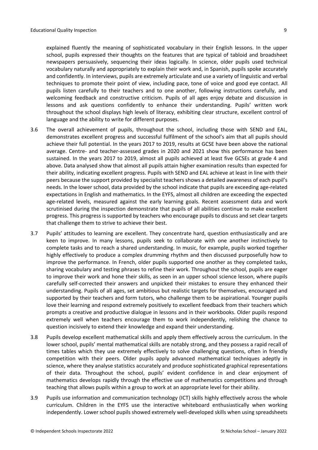explained fluently the meaning of sophisticated vocabulary in their English lessons. In the upper school, pupils expressed their thoughts on the features that are typical of tabloid and broadsheet newspapers persuasively, sequencing their ideas logically. In science, older pupils used technical vocabulary naturally and appropriately to explain their work and, in Spanish, pupils spoke accurately and confidently. In interviews, pupils are extremely articulate and use a variety of linguistic and verbal techniques to promote their point of view, including pace, tone of voice and good eye contact. All pupils listen carefully to their teachers and to one another, following instructions carefully, and welcoming feedback and constructive criticism. Pupils of all ages enjoy debate and discussion in lessons and ask questions confidently to enhance their understanding. Pupils' written work throughout the school displays high levels of literacy, exhibiting clear structure, excellent control of language and the ability to write for different purposes.

- 3.6 The overall achievement of pupils, throughout the school, including those with SEND and EAL, demonstrates excellent progress and successful fulfilment of the school's aim that all pupils should achieve their full potential. In the years 2017 to 2019, results at GCSE have been above the national average. Centre- and teacher-assessed grades in 2020 and 2021 show this performance has been sustained. In the years 2017 to 2019, almost all pupils achieved at least five GCSEs at grade 4 and above. Data analysed show that almost all pupils attain higher examination results than expected for their ability, indicating excellent progress. Pupils with SEND and EAL achieve at least in line with their peers because the support provided by specialist teachers shows a detailed awareness of each pupil's needs. In the lower school, data provided by the school indicate that pupils are exceeding age-related expectations in English and mathematics. In the EYFS, almost all children are exceeding the expected age-related levels, measured against the early learning goals. Recent assessment data and work scrutinised during the inspection demonstrate that pupils of all abilities continue to make excellent progress. This progress is supported by teachers who encourage pupils to discuss and set clear targets that challenge them to strive to achieve their best.
- 3.7 Pupils' attitudes to learning are excellent. They concentrate hard, question enthusiastically and are keen to improve. In many lessons, pupils seek to collaborate with one another instinctively to complete tasks and to reach a shared understanding. In music, for example, pupils worked together highly effectively to produce a complex drumming rhythm and then discussed purposefully how to improve the performance. In French, older pupils supported one another as they completed tasks, sharing vocabulary and testing phrases to refine their work. Throughout the school, pupils are eager to improve their work and hone their skills, as seen in an upper school science lesson, where pupils carefully self-corrected their answers and unpicked their mistakes to ensure they enhanced their understanding. Pupils of all ages, set ambitious but realistic targets for themselves, encouraged and supported by their teachers and form tutors, who challenge them to be aspirational. Younger pupils love their learning and respond extremely positively to excellent feedback from their teachers which prompts a creative and productive dialogue in lessons and in their workbooks. Older pupils respond extremely well when teachers encourage them to work independently, relishing the chance to question incisively to extend their knowledge and expand their understanding.
- 3.8 Pupils develop excellent mathematical skills and apply them effectively across the curriculum. In the lower school, pupils' mental mathematical skills are notably strong, and they possess a rapid recall of times tables which they use extremely effectively to solve challenging questions, often in friendly competition with their peers. Older pupils apply advanced mathematical techniques adeptly in science, where they analyse statistics accurately and produce sophisticated graphical representations of their data. Throughout the school, pupils' evident confidence in and clear enjoyment of mathematics develops rapidly through the effective use of mathematics competitions and through teaching that allows pupils within a group to work at an appropriate level for their ability.
- 3.9 Pupils use information and communication technology (ICT) skills highly effectively across the whole curriculum. Children in the EYFS use the interactive whiteboard enthusiastically when working independently. Lower school pupils showed extremely well-developed skills when using spreadsheets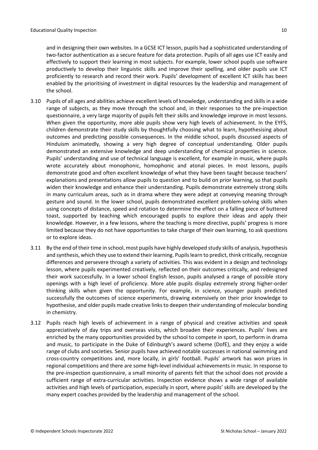and in designing their own websites. In a GCSE ICT lesson, pupils had a sophisticated understanding of two-factor authentication as a secure feature for data protection. Pupils of all ages use ICT easily and effectively to support their learning in most subjects. For example, lower school pupils use software productively to develop their linguistic skills and improve their spelling, and older pupils use ICT proficiently to research and record their work. Pupils' development of excellent ICT skills has been enabled by the prioritising of investment in digital resources by the leadership and management of the school.

- 3.10 Pupils of all ages and abilities achieve excellent levels of knowledge, understanding and skills in a wide range of subjects, as they move through the school and, in their responses to the pre-inspection questionnaire, a very large majority of pupils felt their skills and knowledge improve in most lessons. When given the opportunity, more able pupils show very high levels of achievement. In the EYFS, children demonstrate their study skills by thoughtfully choosing what to learn, hypothesising about outcomes and predicting possible consequences. In the middle school, pupils discussed aspects of Hinduism animatedly, showing a very high degree of conceptual understanding. Older pupils demonstrated an extensive knowledge and deep understanding of chemical properties in science. Pupils' understanding and use of technical language is excellent, for example in music, where pupils wrote accurately about monophonic, homophonic and atonal pieces. In most lessons, pupils demonstrate good and often excellent knowledge of what they have been taught because teachers' explanations and presentations allow pupils to question and to build on prior learning, so that pupils widen their knowledge and enhance their understanding. Pupils demonstrate extremely strong skills in many curriculum areas, such as in drama where they were adept at conveying meaning through gesture and sound. In the lower school, pupils demonstrated excellent problem-solving skills when using concepts of distance, speed and rotation to determine the effect on a falling piece of buttered toast, supported by teaching which encouraged pupils to explore their ideas and apply their knowledge. However, in a few lessons, where the teaching is more directive, pupils' progress is more limited because they do not have opportunities to take charge of their own learning, to ask questions or to explore ideas.
- 3.11 By the end of their time in school, most pupils have highly developed study skills of analysis, hypothesis and synthesis, which they use to extend their learning. Pupils learn to predict, think critically, recognize differences and persevere through a variety of activities. This was evident in a design and technology lesson, where pupils experimented creatively, reflected on their outcomes critically, and redesigned their work successfully. In a lower school English lesson, pupils analysed a range of possible story openings with a high level of proficiency. More able pupils display extremely strong higher-order thinking skills when given the opportunity. For example, in science, younger pupils predicted successfully the outcomes of science experiments, drawing extensively on their prior knowledge to hypothesise, and older pupils made creative links to deepen their understanding of molecular bonding in chemistry.
- 3.12 Pupils reach high levels of achievement in a range of physical and creative activities and speak appreciatively of day trips and overseas visits, which broaden their experiences. Pupils' lives are enriched by the many opportunities provided by the school to compete in sport, to perform in drama and music, to participate in the Duke of Edinburgh's award scheme (DofE), and they enjoy a wide range of clubs and societies. Senior pupils have achieved notable successes in national swimming and cross-country competitions and, more locally, in girls' football. Pupils' artwork has won prizes in regional competitions and there are some high-level individual achievements in music. In response to the pre-inspection questionnaire, a small minority of parents felt that the school does not provide a sufficient range of extra-curricular activities. Inspection evidence shows a wide range of available activities and high levels of participation, especially in sport, where pupils' skills are developed by the many expert coaches provided by the leadership and management of the school.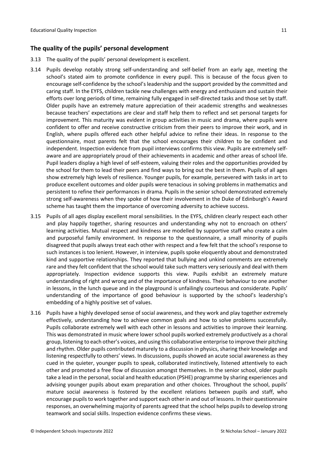## <span id="page-10-0"></span>**The quality of the pupils' personal development**

- 3.13 The quality of the pupils' personal development is excellent.
- 3.14 Pupils develop notably strong self-understanding and self-belief from an early age, meeting the school's stated aim to promote confidence in every pupil. This is because of the focus given to encourage self-confidence by the school's leadership and the support provided by the committed and caring staff. In the EYFS, children tackle new challenges with energy and enthusiasm and sustain their efforts over long periods of time, remaining fully engaged in self-directed tasks and those set by staff. Older pupils have an extremely mature appreciation of their academic strengths and weaknesses because teachers' expectations are clear and staff help them to reflect and set personal targets for improvement. This maturity was evident in group activities in music and drama, where pupils were confident to offer and receive constructive criticism from their peers to improve their work, and in English, where pupils offered each other helpful advice to refine their ideas. In response to the questionnaire, most parents felt that the school encourages their children to be confident and independent. Inspection evidence from pupil interviews confirms this view. Pupils are extremely selfaware and are appropriately proud of their achievements in academic and other areas of school life. Pupil leaders display a high level of self-esteem, valuing their roles and the opportunities provided by the school for them to lead their peers and find ways to bring out the best in them. Pupils of all ages show extremely high levels of resilience. Younger pupils, for example, persevered with tasks in art to produce excellent outcomes and older pupils were tenacious in solving problems in mathematics and persistent to refine their performances in drama. Pupils in the senior school demonstrated extremely strong self-awareness when they spoke of how their involvement in the Duke of Edinburgh's Award scheme has taught them the importance of overcoming adversity to achieve success.
- 3.15 Pupils of all ages display excellent moral sensibilities. In the EYFS, children clearly respect each other and play happily together, sharing resources and understanding why not to encroach on others' learning activities. Mutual respect and kindness are modelled by supportive staff who create a calm and purposeful family environment. In response to the questionnaire, a small minority of pupils disagreed that pupils always treat each other with respect and a few felt that the school's response to such instances is too lenient. However, in interview, pupils spoke eloquently about and demonstrated kind and supportive relationships. They reported that bullying and unkind comments are extremely rare and they felt confident that the school would take such matters very seriously and deal with them appropriately. Inspection evidence supports this view. Pupils exhibit an extremely mature understanding of right and wrong and of the importance of kindness. Their behaviour to one another in lessons, in the lunch queue and in the playground is unfailingly courteous and considerate. Pupils' understanding of the importance of good behaviour is supported by the school's leadership's embedding of a highly positive set of values.
- 3.16 Pupils have a highly developed sense of social awareness, and they work and play together extremely effectively, understanding how to achieve common goals and how to solve problems successfully. Pupils collaborate extremely well with each other in lessons and activities to improve their learning. This was demonstrated in music where lower school pupils worked extremely productively as a choral group, listening to each other's voices, and using this collaborative enterprise to improve their pitching and rhythm. Older pupils contributed maturely to a discussion in physics, sharing their knowledge and listening respectfully to others' views. In discussions, pupils showed an acute social awareness as they cued in the quieter, younger pupils to speak, collaborated instinctively, listened attentively to each other and promoted a free flow of discussion amongst themselves. In the senior school, older pupils take a lead in the personal, social and health education (PSHE) programme by sharing experiences and advising younger pupils about exam preparation and other choices. Throughout the school, pupils' mature social awareness is fostered by the excellent relations between pupils and staff, who encourage pupilsto work together and support each other in and out of lessons. In their questionnaire responses, an overwhelming majority of parents agreed that the school helps pupils to develop strong teamwork and social skills. Inspection evidence confirms these views.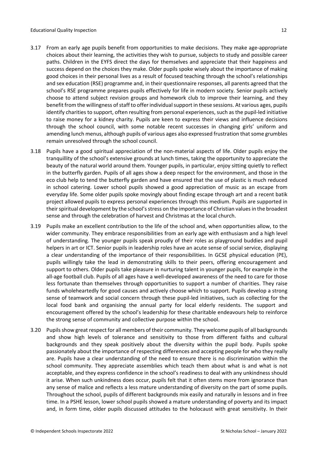- 3.17 From an early age pupils benefit from opportunities to make decisions. They make age-appropriate choices about their learning, the activities they wish to pursue, subjects to study and possible career paths. Children in the EYFS direct the days for themselves and appreciate that their happiness and success depend on the choices they make. Older pupils spoke wisely about the importance of making good choices in their personal lives as a result of focused teaching through the school's relationships and sex education (RSE) programme and, in their questionnaire responses, all parents agreed that the school's RSE programme prepares pupils effectively for life in modern society. Senior pupils actively choose to attend subject revision groups and homework club to improve their learning, and they benefit from the willingness of staff to offer individual support in these sessions. At various ages, pupils identify charities to support, often resulting from personal experiences, such as the pupil-led initiative to raise money for a kidney charity. Pupils are keen to express their views and influence decisions through the school council, with some notable recent successes in changing girls' uniform and amending lunch menus, although pupils of various ages also expressed frustration that some grumbles remain unresolved through the school council.
- 3.18 Pupils have a good spiritual appreciation of the non-material aspects of life. Older pupils enjoy the tranquillity of the school's extensive grounds at lunch times, taking the opportunity to appreciate the beauty of the natural world around them. Younger pupils, in particular, enjoy sitting quietly to reflect in the butterfly garden. Pupils of all ages show a deep respect for the environment, and those in the eco club help to tend the butterfly garden and have ensured that the use of plastic is much reduced in school catering. Lower school pupils showed a good appreciation of music as an escape from everyday life. Some older pupils spoke movingly about finding escape through art and a recent batik project allowed pupils to express personal experiences through this medium. Pupils are supported in their spiritual development by the school's stress on the importance of Christian values in the broadest sense and through the celebration of harvest and Christmas at the local church.
- 3.19 Pupils make an excellent contribution to the life of the school and, when opportunities allow, to the wider community. They embrace responsibilities from an early age with enthusiasm and a high level of understanding. The younger pupils speak proudly of their roles as playground buddies and pupil helpers in art or ICT. Senior pupils in leadership roles have an acute sense of social service, displaying a clear understanding of the importance of their responsibilities. In GCSE physical education (PE), pupils willingly take the lead in demonstrating skills to their peers, offering encouragement and support to others. Older pupils take pleasure in nurturing talent in younger pupils, for example in the all-age football club. Pupils of all ages have a well-developed awareness of the need to care for those less fortunate than themselves through opportunities to support a number of charities. They raise funds wholeheartedly for good causes and actively choose which to support. Pupils develop a strong sense of teamwork and social concern through these pupil-led initiatives, such as collecting for the local food bank and organising the annual party for local elderly residents. The support and encouragement offered by the school's leadership for these charitable endeavours help to reinforce the strong sense of community and collective purpose within the school.
- 3.20 Pupils show great respect for all members of their community. They welcome pupils of all backgrounds and show high levels of tolerance and sensitivity to those from different faiths and cultural backgrounds and they speak positively about the diversity within the pupil body. Pupils spoke passionately about the importance of respecting differences and accepting people for who they really are. Pupils have a clear understanding of the need to ensure there is no discrimination within the school community. They appreciate assemblies which teach them about what is and what is not acceptable, and they express confidence in the school's readiness to deal with any unkindness should it arise. When such unkindness does occur, pupils felt that it often stems more from ignorance than any sense of malice and reflects a less mature understanding of diversity on the part of some pupils. Throughout the school, pupils of different backgrounds mix easily and naturally in lessons and in free time. In a PSHE lesson, lower school pupils showed a mature understanding of poverty and its impact and, in form time, older pupils discussed attitudes to the holocaust with great sensitivity. In their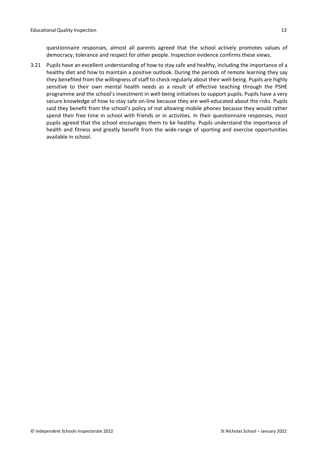questionnaire responses, almost all parents agreed that the school actively promotes values of democracy, tolerance and respect for other people. Inspection evidence confirms these views.

3.21 Pupils have an excellent understanding of how to stay safe and healthy, including the importance of a healthy diet and how to maintain a positive outlook. During the periods of remote learning they say they benefited from the willingness of staff to check regularly about their well-being. Pupils are highly sensitive to their own mental health needs as a result of effective teaching through the PSHE programme and the school's investment in well-being initiatives to support pupils. Pupils have a very secure knowledge of how to stay safe on-line because they are well-educated about the risks. Pupils said they benefit from the school's policy of not allowing mobile phones because they would rather spend their free time in school with friends or in activities. In their questionnaire responses, most pupils agreed that the school encourages them to be healthy. Pupils understand the importance of health and fitness and greatly benefit from the wide-range of sporting and exercise opportunities available in school.